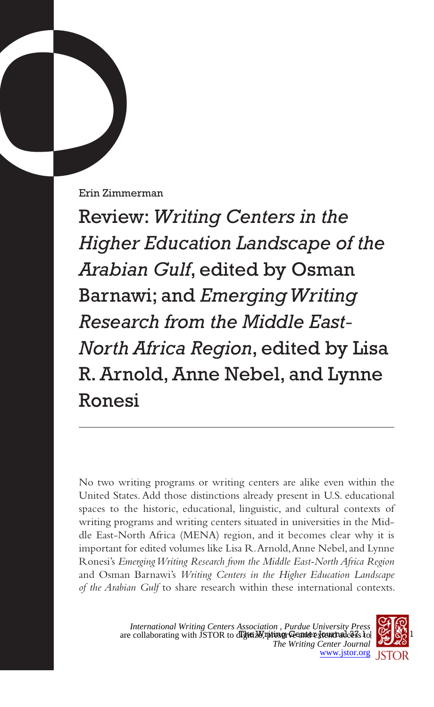Erin Zimmerman

Review: *Writing Centers in the Higher Education Landscape of the Arabian Gulf*, edited by Osman Barnawi; and *Emerging Writing Research from the Middle East-North Africa Region*, edited by Lisa R. Arnold, Anne Nebel, and Lynne Ronesi

No two writing programs or writing centers are alike even within the United States. Add those distinctions already present in U.S. educational spaces to the historic, educational, linguistic, and cultural contexts of writing programs and writing centers situated in universities in the Middle East-North Africa (MENA) region, and it becomes clear why it is important for edited volumes like Lisa R. Arnold, Anne Nebel, and Lynne Ronesi's *Emerging Writing Research from the Middle East-North Africa Region*  and Osman Barnawi's *Writing Centers in the Higher Education Landscape of the Arabian Gulf* to share research within these international contexts.

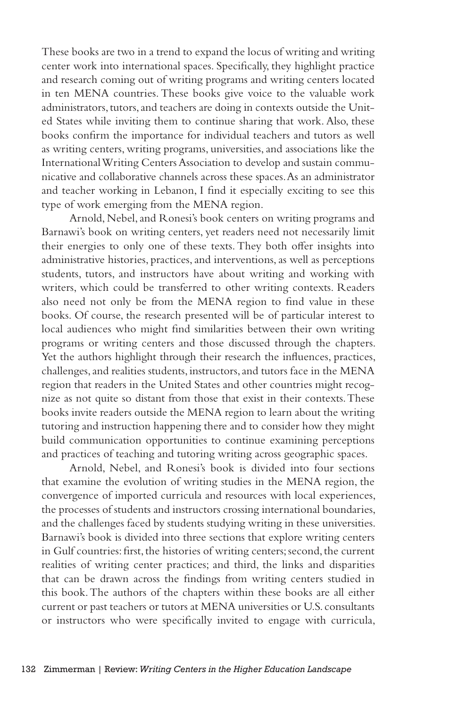These books are two in a trend to expand the locus of writing and writing center work into international spaces. Specifically, they highlight practice and research coming out of writing programs and writing centers located in ten MENA countries. These books give voice to the valuable work administrators, tutors, and teachers are doing in contexts outside the United States while inviting them to continue sharing that work. Also, these books confirm the importance for individual teachers and tutors as well as writing centers, writing programs, universities, and associations like the International Writing Centers Association to develop and sustain communicative and collaborative channels across these spaces. As an administrator and teacher working in Lebanon, I find it especially exciting to see this type of work emerging from the MENA region.

Arnold, Nebel, and Ronesi's book centers on writing programs and Barnawi's book on writing centers, yet readers need not necessarily limit their energies to only one of these texts. They both offer insights into administrative histories, practices, and interventions, as well as perceptions students, tutors, and instructors have about writing and working with writers, which could be transferred to other writing contexts. Readers also need not only be from the MENA region to find value in these books. Of course, the research presented will be of particular interest to local audiences who might find similarities between their own writing programs or writing centers and those discussed through the chapters. Yet the authors highlight through their research the influences, practices, challenges, and realities students, instructors, and tutors face in the MENA region that readers in the United States and other countries might recognize as not quite so distant from those that exist in their contexts. These books invite readers outside the MENA region to learn about the writing tutoring and instruction happening there and to consider how they might build communication opportunities to continue examining perceptions and practices of teaching and tutoring writing across geographic spaces.

Arnold, Nebel, and Ronesi's book is divided into four sections that examine the evolution of writing studies in the MENA region, the convergence of imported curricula and resources with local experiences, the processes of students and instructors crossing international boundaries, and the challenges faced by students studying writing in these universities. Barnawi's book is divided into three sections that explore writing centers in Gulf countries: first, the histories of writing centers; second, the current realities of writing center practices; and third, the links and disparities that can be drawn across the findings from writing centers studied in this book. The authors of the chapters within these books are all either current or past teachers or tutors at MENA universities or U.S. consultants or instructors who were specifically invited to engage with curricula,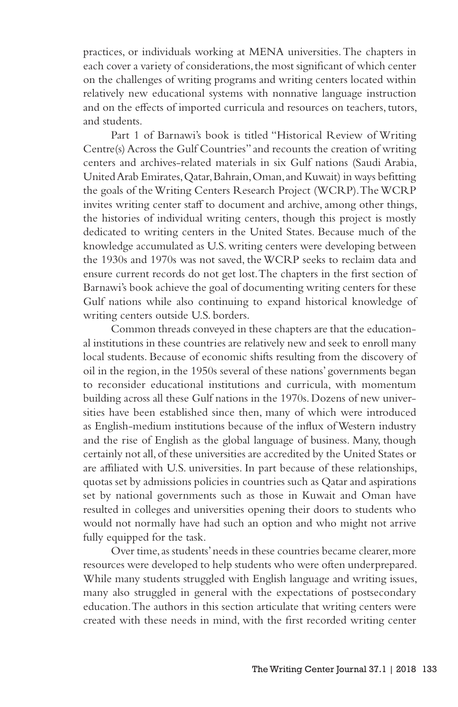practices, or individuals working at MENA universities. The chapters in each cover a variety of considerations, the most significant of which center on the challenges of writing programs and writing centers located within relatively new educational systems with nonnative language instruction and on the effects of imported curricula and resources on teachers, tutors, and students.

Part 1 of Barnawi's book is titled "Historical Review of Writing Centre(s) Across the Gulf Countries" and recounts the creation of writing centers and archives-related materials in six Gulf nations (Saudi Arabia, United Arab Emirates, Qatar, Bahrain, Oman, and Kuwait) in ways befitting the goals of the Writing Centers Research Project (WCRP). The WCRP invites writing center staff to document and archive, among other things, the histories of individual writing centers, though this project is mostly dedicated to writing centers in the United States. Because much of the knowledge accumulated as U.S. writing centers were developing between the 1930s and 1970s was not saved, the WCRP seeks to reclaim data and ensure current records do not get lost. The chapters in the first section of Barnawi's book achieve the goal of documenting writing centers for these Gulf nations while also continuing to expand historical knowledge of writing centers outside U.S. borders.

Common threads conveyed in these chapters are that the educational institutions in these countries are relatively new and seek to enroll many local students. Because of economic shifts resulting from the discovery of oil in the region, in the 1950s several of these nations' governments began to reconsider educational institutions and curricula, with momentum building across all these Gulf nations in the 1970s. Dozens of new universities have been established since then, many of which were introduced as English-medium institutions because of the influx of Western industry and the rise of English as the global language of business. Many, though certainly not all, of these universities are accredited by the United States or are affiliated with U.S. universities. In part because of these relationships, quotas set by admissions policies in countries such as Qatar and aspirations set by national governments such as those in Kuwait and Oman have resulted in colleges and universities opening their doors to students who would not normally have had such an option and who might not arrive fully equipped for the task.

Over time, as students' needs in these countries became clearer, more resources were developed to help students who were often underprepared. While many students struggled with English language and writing issues, many also struggled in general with the expectations of postsecondary education. The authors in this section articulate that writing centers were created with these needs in mind, with the first recorded writing center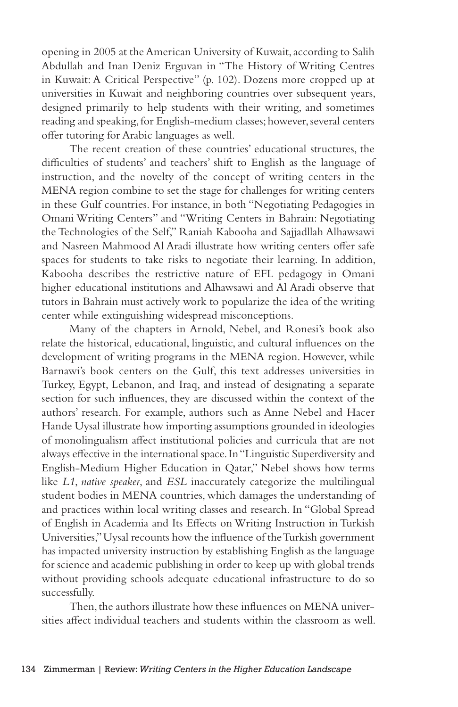opening in 2005 at the American University of Kuwait, according to Salih Abdullah and Inan Deniz Erguvan in "The History of Writing Centres in Kuwait: A Critical Perspective" (p. 102). Dozens more cropped up at universities in Kuwait and neighboring countries over subsequent years, designed primarily to help students with their writing, and sometimes reading and speaking, for English-medium classes; however, several centers offer tutoring for Arabic languages as well.

The recent creation of these countries' educational structures, the difficulties of students' and teachers' shift to English as the language of instruction, and the novelty of the concept of writing centers in the MENA region combine to set the stage for challenges for writing centers in these Gulf countries. For instance, in both "Negotiating Pedagogies in Omani Writing Centers" and "Writing Centers in Bahrain: Negotiating the Technologies of the Self," Raniah Kabooha and Sajjadllah Alhawsawi and Nasreen Mahmood Al Aradi illustrate how writing centers offer safe spaces for students to take risks to negotiate their learning. In addition, Kabooha describes the restrictive nature of EFL pedagogy in Omani higher educational institutions and Alhawsawi and Al Aradi observe that tutors in Bahrain must actively work to popularize the idea of the writing center while extinguishing widespread misconceptions.

Many of the chapters in Arnold, Nebel, and Ronesi's book also relate the historical, educational, linguistic, and cultural influences on the development of writing programs in the MENA region. However, while Barnawi's book centers on the Gulf, this text addresses universities in Turkey, Egypt, Lebanon, and Iraq, and instead of designating a separate section for such influences, they are discussed within the context of the authors' research. For example, authors such as Anne Nebel and Hacer Hande Uysal illustrate how importing assumptions grounded in ideologies of monolingualism affect institutional policies and curricula that are not always effective in the international space. In "Linguistic Superdiversity and English-Medium Higher Education in Qatar," Nebel shows how terms like *L1*, *native speaker*, and *ESL* inaccurately categorize the multilingual student bodies in MENA countries, which damages the understanding of and practices within local writing classes and research. In "Global Spread of English in Academia and Its Effects on Writing Instruction in Turkish Universities," Uysal recounts how the influence of the Turkish government has impacted university instruction by establishing English as the language for science and academic publishing in order to keep up with global trends without providing schools adequate educational infrastructure to do so successfully.

Then, the authors illustrate how these influences on MENA universities affect individual teachers and students within the classroom as well.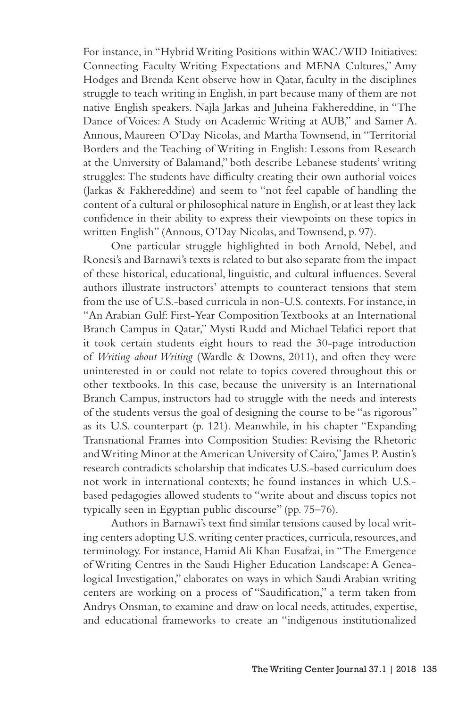For instance, in "Hybrid Writing Positions within WAC/WID Initiatives: Connecting Faculty Writing Expectations and MENA Cultures," Amy Hodges and Brenda Kent observe how in Qatar, faculty in the disciplines struggle to teach writing in English, in part because many of them are not native English speakers. Najla Jarkas and Juheina Fakhereddine, in "The Dance of Voices: A Study on Academic Writing at AUB," and Samer A. Annous, Maureen O'Day Nicolas, and Martha Townsend, in "Territorial Borders and the Teaching of Writing in English: Lessons from Research at the University of Balamand," both describe Lebanese students' writing struggles: The students have difficulty creating their own authorial voices (Jarkas & Fakhereddine) and seem to "not feel capable of handling the content of a cultural or philosophical nature in English, or at least they lack confidence in their ability to express their viewpoints on these topics in written English" (Annous, O'Day Nicolas, and Townsend, p. 97).

One particular struggle highlighted in both Arnold, Nebel, and Ronesi's and Barnawi's texts is related to but also separate from the impact of these historical, educational, linguistic, and cultural influences. Several authors illustrate instructors' attempts to counteract tensions that stem from the use of U.S.-based curricula in non-U.S. contexts. For instance, in "An Arabian Gulf: First-Year Composition Textbooks at an International Branch Campus in Qatar," Mysti Rudd and Michael Telafici report that it took certain students eight hours to read the 30-page introduction of *Writing about Writing* (Wardle & Downs, 2011), and often they were uninterested in or could not relate to topics covered throughout this or other textbooks. In this case, because the university is an International Branch Campus, instructors had to struggle with the needs and interests of the students versus the goal of designing the course to be "as rigorous" as its U.S. counterpart (p. 121). Meanwhile, in his chapter "Expanding Transnational Frames into Composition Studies: Revising the Rhetoric and Writing Minor at the American University of Cairo," James P. Austin's research contradicts scholarship that indicates U.S.-based curriculum does not work in international contexts; he found instances in which U.S. based pedagogies allowed students to "write about and discuss topics not typically seen in Egyptian public discourse" (pp. 75–76).

Authors in Barnawi's text find similar tensions caused by local writing centers adopting U.S. writing center practices, curricula, resources, and terminology. For instance, Hamid Ali Khan Eusafzai, in "The Emergence of Writing Centres in the Saudi Higher Education Landscape: A Genealogical Investigation," elaborates on ways in which Saudi Arabian writing centers are working on a process of "Saudification," a term taken from Andrys Onsman, to examine and draw on local needs, attitudes, expertise, and educational frameworks to create an "indigenous institutionalized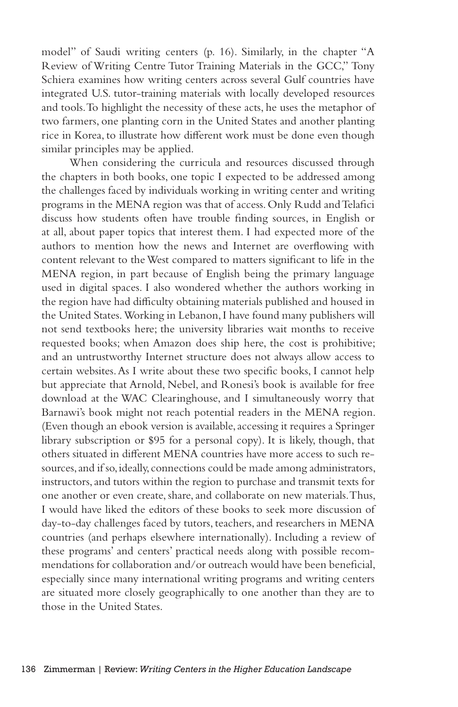model" of Saudi writing centers (p. 16). Similarly, in the chapter "A Review of Writing Centre Tutor Training Materials in the GCC," Tony Schiera examines how writing centers across several Gulf countries have integrated U.S. tutor-training materials with locally developed resources and tools. To highlight the necessity of these acts, he uses the metaphor of two farmers, one planting corn in the United States and another planting rice in Korea, to illustrate how different work must be done even though similar principles may be applied.

When considering the curricula and resources discussed through the chapters in both books, one topic I expected to be addressed among the challenges faced by individuals working in writing center and writing programs in the MENA region was that of access. Only Rudd and Telafici discuss how students often have trouble finding sources, in English or at all, about paper topics that interest them. I had expected more of the authors to mention how the news and Internet are overflowing with content relevant to the West compared to matters significant to life in the MENA region, in part because of English being the primary language used in digital spaces. I also wondered whether the authors working in the region have had difficulty obtaining materials published and housed in the United States. Working in Lebanon, I have found many publishers will not send textbooks here; the university libraries wait months to receive requested books; when Amazon does ship here, the cost is prohibitive; and an untrustworthy Internet structure does not always allow access to certain websites. As I write about these two specific books, I cannot help but appreciate that Arnold, Nebel, and Ronesi's book is available for free download at the WAC Clearinghouse, and I simultaneously worry that Barnawi's book might not reach potential readers in the MENA region. (Even though an ebook version is available, accessing it requires a Springer library subscription or \$95 for a personal copy). It is likely, though, that others situated in different MENA countries have more access to such resources, and if so, ideally, connections could be made among administrators, instructors, and tutors within the region to purchase and transmit texts for one another or even create, share, and collaborate on new materials. Thus, I would have liked the editors of these books to seek more discussion of day-to-day challenges faced by tutors, teachers, and researchers in MENA countries (and perhaps elsewhere internationally). Including a review of these programs' and centers' practical needs along with possible recommendations for collaboration and/or outreach would have been beneficial, especially since many international writing programs and writing centers are situated more closely geographically to one another than they are to those in the United States.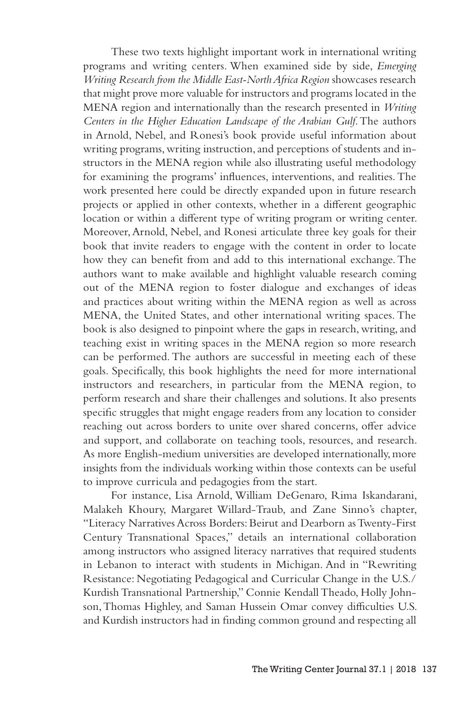These two texts highlight important work in international writing programs and writing centers. When examined side by side, *Emerging Writing Research from the Middle East-North Africa Region* showcases research that might prove more valuable for instructors and programs located in the MENA region and internationally than the research presented in *Writing Centers in the Higher Education Landscape of the Arabian Gulf*. The authors in Arnold, Nebel, and Ronesi's book provide useful information about writing programs, writing instruction, and perceptions of students and instructors in the MENA region while also illustrating useful methodology for examining the programs' influences, interventions, and realities. The work presented here could be directly expanded upon in future research projects or applied in other contexts, whether in a different geographic location or within a different type of writing program or writing center. Moreover, Arnold, Nebel, and Ronesi articulate three key goals for their book that invite readers to engage with the content in order to locate how they can benefit from and add to this international exchange. The authors want to make available and highlight valuable research coming out of the MENA region to foster dialogue and exchanges of ideas and practices about writing within the MENA region as well as across MENA, the United States, and other international writing spaces. The book is also designed to pinpoint where the gaps in research, writing, and teaching exist in writing spaces in the MENA region so more research can be performed. The authors are successful in meeting each of these goals. Specifically, this book highlights the need for more international instructors and researchers, in particular from the MENA region, to perform research and share their challenges and solutions. It also presents specific struggles that might engage readers from any location to consider reaching out across borders to unite over shared concerns, offer advice and support, and collaborate on teaching tools, resources, and research. As more English-medium universities are developed internationally, more insights from the individuals working within those contexts can be useful to improve curricula and pedagogies from the start.

For instance, Lisa Arnold, William DeGenaro, Rima Iskandarani, Malakeh Khoury, Margaret Willard-Traub, and Zane Sinno's chapter, "Literacy Narratives Across Borders: Beirut and Dearborn as Twenty-First Century Transnational Spaces," details an international collaboration among instructors who assigned literacy narratives that required students in Lebanon to interact with students in Michigan. And in "Rewriting Resistance: Negotiating Pedagogical and Curricular Change in the U.S./ Kurdish Transnational Partnership," Connie Kendall Theado, Holly Johnson, Thomas Highley, and Saman Hussein Omar convey difficulties U.S. and Kurdish instructors had in finding common ground and respecting all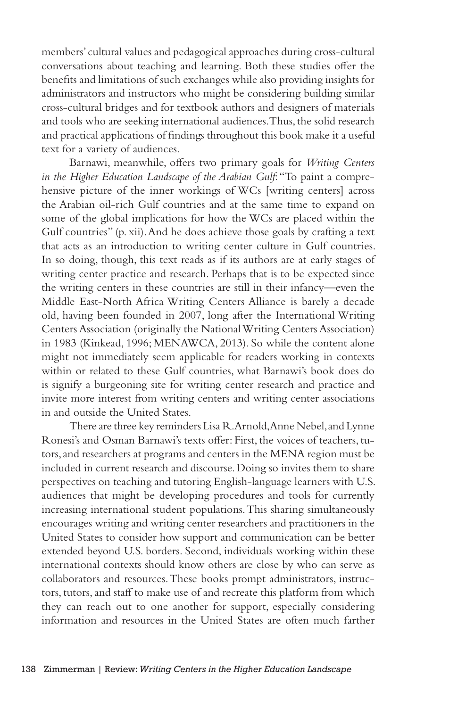members' cultural values and pedagogical approaches during cross-cultural conversations about teaching and learning. Both these studies offer the benefits and limitations of such exchanges while also providing insights for administrators and instructors who might be considering building similar cross-cultural bridges and for textbook authors and designers of materials and tools who are seeking international audiences. Thus, the solid research and practical applications of findings throughout this book make it a useful text for a variety of audiences.

Barnawi, meanwhile, offers two primary goals for *Writing Centers in the Higher Education Landscape of the Arabian Gulf*: "To paint a comprehensive picture of the inner workings of WCs [writing centers] across the Arabian oil-rich Gulf countries and at the same time to expand on some of the global implications for how the WCs are placed within the Gulf countries" (p. xii). And he does achieve those goals by crafting a text that acts as an introduction to writing center culture in Gulf countries. In so doing, though, this text reads as if its authors are at early stages of writing center practice and research. Perhaps that is to be expected since the writing centers in these countries are still in their infancy—even the Middle East-North Africa Writing Centers Alliance is barely a decade old, having been founded in 2007, long after the International Writing Centers Association (originally the National Writing Centers Association) in 1983 (Kinkead, 1996; MENAWCA, 2013). So while the content alone might not immediately seem applicable for readers working in contexts within or related to these Gulf countries, what Barnawi's book does do is signify a burgeoning site for writing center research and practice and invite more interest from writing centers and writing center associations in and outside the United States.

There are three key reminders Lisa R. Arnold, Anne Nebel, and Lynne Ronesi's and Osman Barnawi's texts offer: First, the voices of teachers, tutors, and researchers at programs and centers in the MENA region must be included in current research and discourse. Doing so invites them to share perspectives on teaching and tutoring English-language learners with U.S. audiences that might be developing procedures and tools for currently increasing international student populations. This sharing simultaneously encourages writing and writing center researchers and practitioners in the United States to consider how support and communication can be better extended beyond U.S. borders. Second, individuals working within these international contexts should know others are close by who can serve as collaborators and resources. These books prompt administrators, instructors, tutors, and staff to make use of and recreate this platform from which they can reach out to one another for support, especially considering information and resources in the United States are often much farther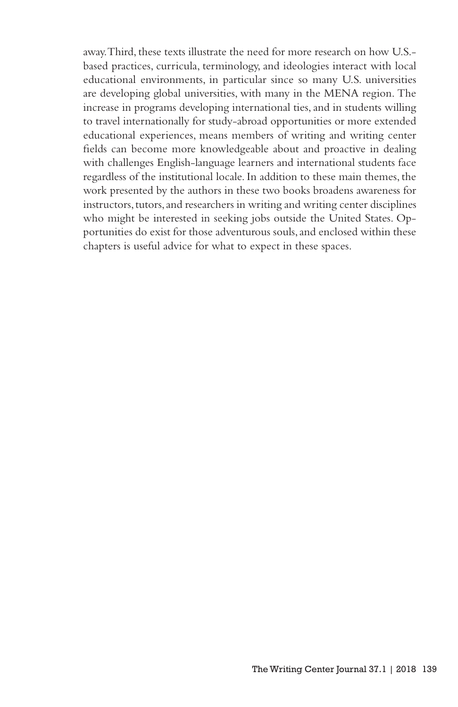away. Third, these texts illustrate the need for more research on how U.S. based practices, curricula, terminology, and ideologies interact with local educational environments, in particular since so many U.S. universities are developing global universities, with many in the MENA region. The increase in programs developing international ties, and in students willing to travel internationally for study-abroad opportunities or more extended educational experiences, means members of writing and writing center fields can become more knowledgeable about and proactive in dealing with challenges English-language learners and international students face regardless of the institutional locale. In addition to these main themes, the work presented by the authors in these two books broadens awareness for instructors, tutors, and researchers in writing and writing center disciplines who might be interested in seeking jobs outside the United States. Opportunities do exist for those adventurous souls, and enclosed within these chapters is useful advice for what to expect in these spaces.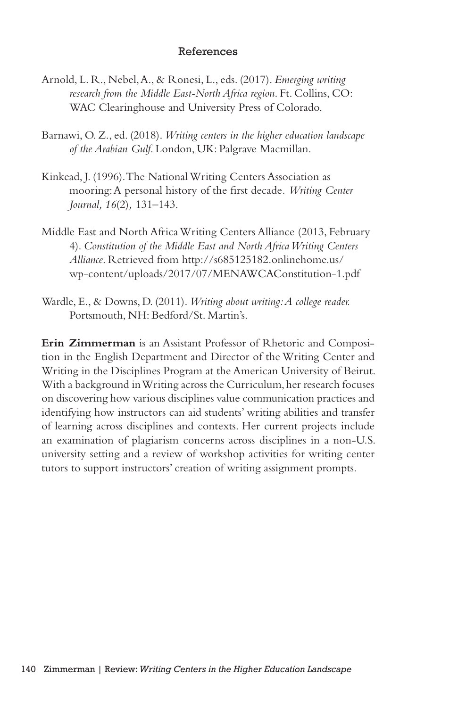## References

- Arnold, L. R., Nebel, A., & Ronesi, L., eds. (2017). *Emerging writing research from the Middle East-North Africa region*. Ft. Collins, CO: WAC Clearinghouse and University Press of Colorado.
- Barnawi, O. Z., ed. (2018). *Writing centers in the higher education landscape of the Arabian Gulf*. London, UK: Palgrave Macmillan.
- Kinkead, J. (1996). The National Writing Centers Association as mooring: A personal history of the first decade*. Writing Center Journal, 16*(2)*,* 131–143.
- Middle East and North Africa Writing Centers Alliance (2013, February 4). *Constitution of the Middle East and North Africa Writing Centers Alliance*. Retrieved from http://s685125182.onlinehome.us/ wp-content/uploads/2017/07/MENAWCAConstitution-1.pdf
- Wardle, E., & Downs, D. (2011). *Writing about writing: A college reader.*  Portsmouth, NH: Bedford/St. Martin's.

**Erin Zimmerman** is an Assistant Professor of Rhetoric and Composition in the English Department and Director of the Writing Center and Writing in the Disciplines Program at the American University of Beirut. With a background in Writing across the Curriculum, her research focuses on discovering how various disciplines value communication practices and identifying how instructors can aid students' writing abilities and transfer of learning across disciplines and contexts. Her current projects include an examination of plagiarism concerns across disciplines in a non-U.S. university setting and a review of workshop activities for writing center tutors to support instructors' creation of writing assignment prompts.